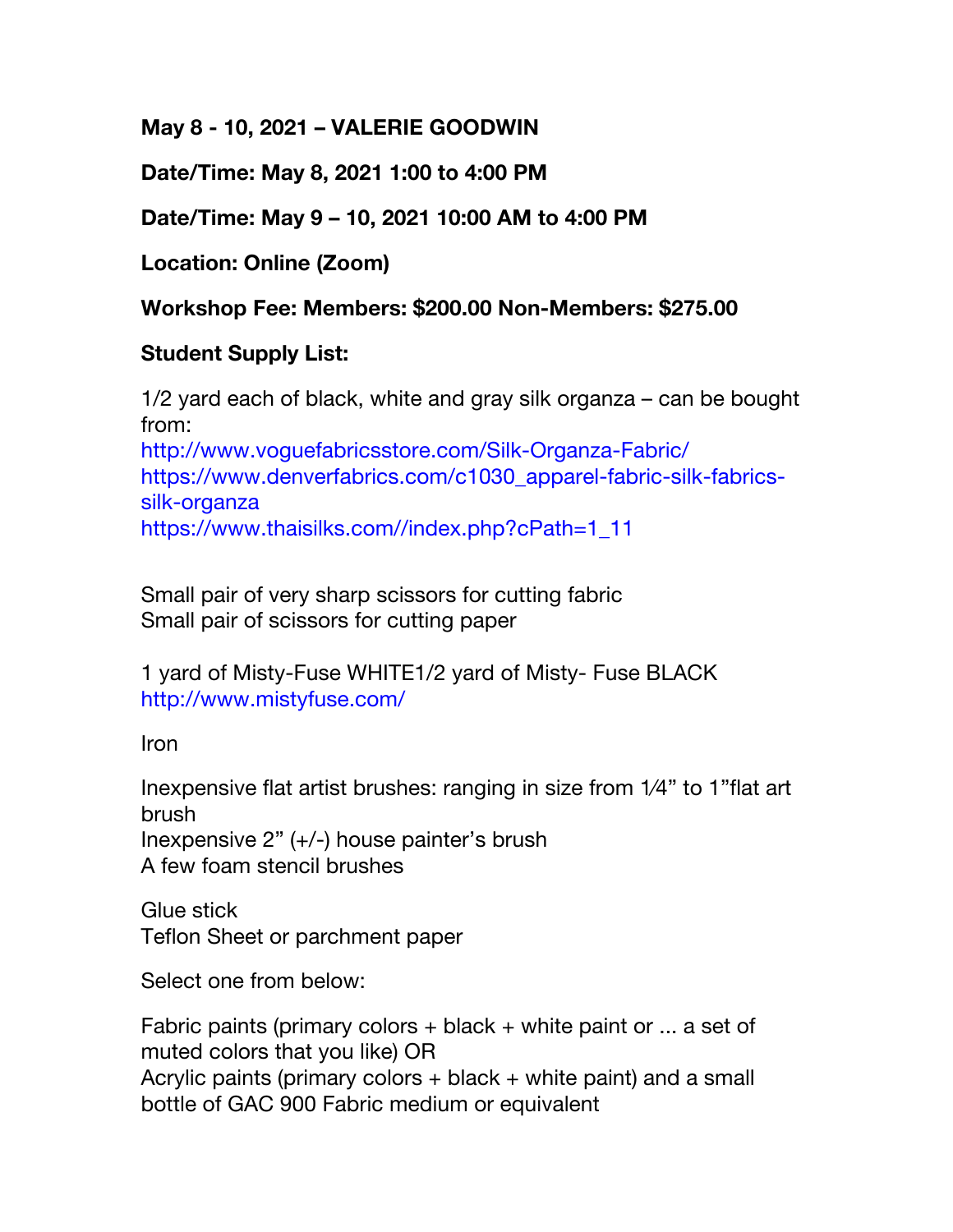**May 8 - 10, 2021 – VALERIE GOODWIN** 

**Date/Time: May 8, 2021 1:00 to 4:00 PM**

## **Date/Time: May 9 – 10, 2021 10:00 AM to 4:00 PM**

**Location: Online (Zoom)**

**Workshop Fee: Members: \$200.00 Non-Members: \$275.00**

## **Student Supply List:**

1/2 yard each of black, white and gray silk organza – can be bought from: http://www.voguefabricsstore.com/Silk-Organza-Fabric/

https://www.denverfabrics.com/c1030\_apparel-fabric-silk-fabricssilk-organza https://www.thaisilks.com//index.php?cPath=1\_11

Small pair of very sharp scissors for cutting fabric Small pair of scissors for cutting paper

1 yard of Misty-Fuse WHITE1/2 yard of Misty- Fuse BLACK http://www.mistyfuse.com/

Iron

Inexpensive flat artist brushes: ranging in size from 1⁄4" to 1"flat art brush

Inexpensive 2" (+/-) house painter's brush A few foam stencil brushes

Glue stick Teflon Sheet or parchment paper

Select one from below:

Fabric paints (primary colors  $+$  black  $+$  white paint or ... a set of muted colors that you like) OR Acrylic paints (primary colors + black + white paint) and a small bottle of GAC 900 Fabric medium or equivalent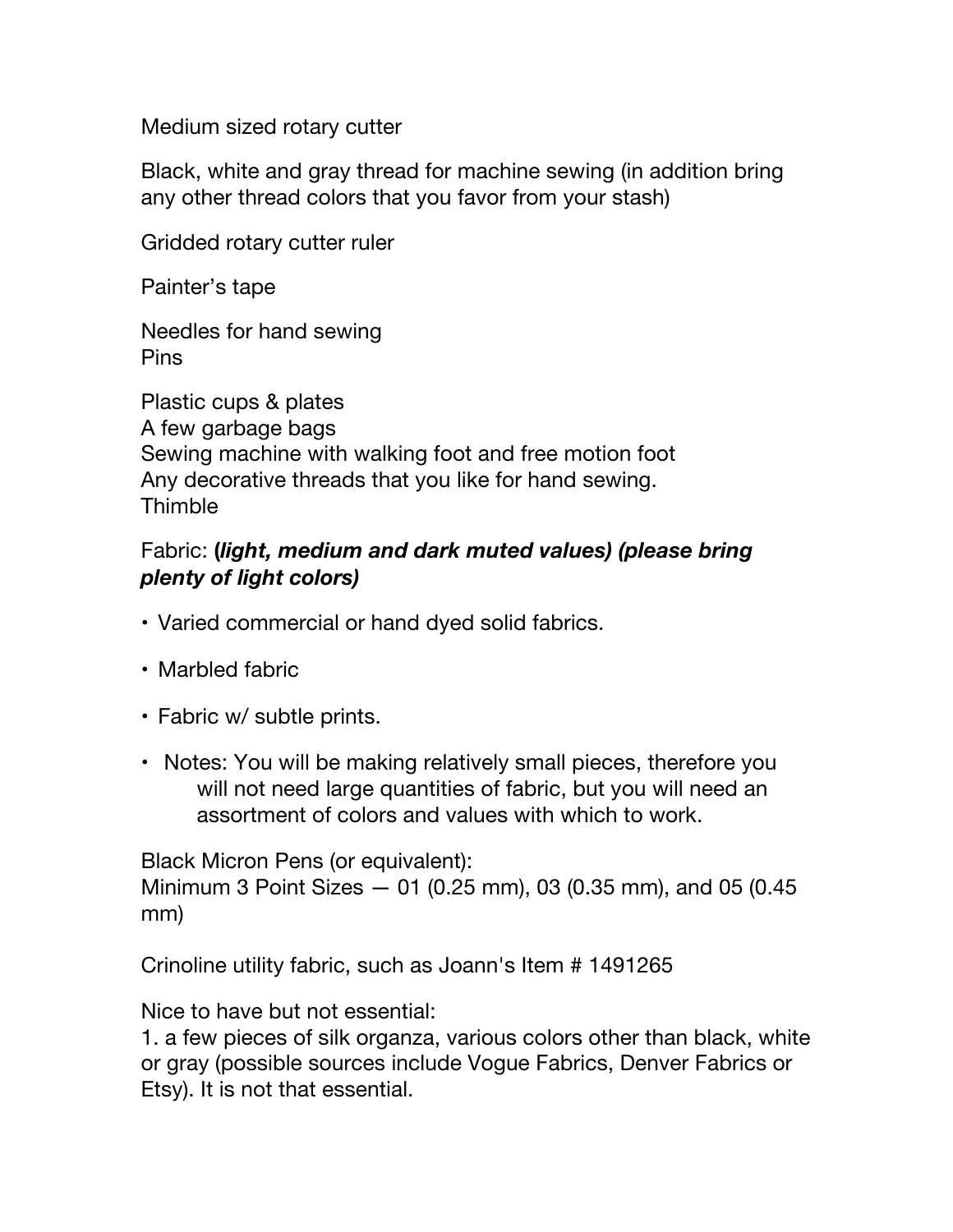Medium sized rotary cutter

Black, white and gray thread for machine sewing (in addition bring any other thread colors that you favor from your stash)

Gridded rotary cutter ruler

Painter's tape

Needles for hand sewing Pins

Plastic cups & plates A few garbage bags Sewing machine with walking foot and free motion foot Any decorative threads that you like for hand sewing. Thimble

## Fabric: **(***light, medium and dark muted values) (please bring plenty of light colors)*

- Varied commercial or hand dyed solid fabrics.
- Marbled fabric
- Fabric w/ subtle prints.
- Notes: You will be making relatively small pieces, therefore you will not need large quantities of fabric, but you will need an assortment of colors and values with which to work.

Black Micron Pens (or equivalent): Minimum 3 Point Sizes — 01 (0.25 mm), 03 (0.35 mm), and 05 (0.45 mm)

Crinoline utility fabric, such as Joann's Item # 1491265

Nice to have but not essential:

1. a few pieces of silk organza, various colors other than black, white or gray (possible sources include Vogue Fabrics, Denver Fabrics or Etsy). It is not that essential.